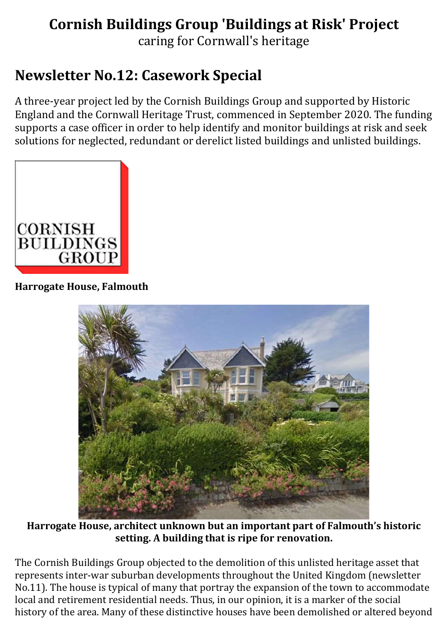# Cornish Buildings Group 'Buildings at Risk' Project

caring for Cornwall's heritage

# Newsletter No.12: Casework Special

A three-year project led by the Cornish Buildings Group and supported by Historic England and the Cornwall Heritage Trust, commenced in September 2020. The funding supports a case officer in order to help identify and monitor buildings at risk and seek solutions for neglected, redundant or derelict listed buildings and unlisted buildings.



#### Harrogate House, Falmouth



Harrogate House, architect unknown but an important part of Falmouth's historic setting. A building that is ripe for renovation.

The Cornish Buildings Group objected to the demolition of this unlisted heritage asset that represents inter-war suburban developments throughout the United Kingdom (newsletter No.11). The house is typical of many that portray the expansion of the town to accommodate local and retirement residential needs. Thus, in our opinion, it is a marker of the social history of the area. Many of these distinctive houses have been demolished or altered beyond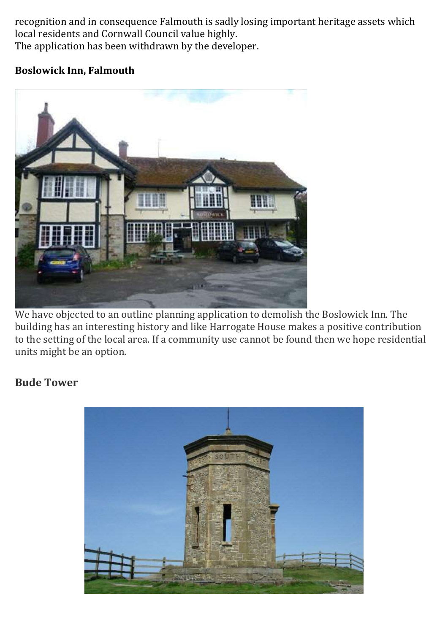recognition and in consequence Falmouth is sadly losing important heritage assets which local residents and Cornwall Council value highly. The application has been withdrawn by the developer.

#### Boslowick Inn, Falmouth



We have objected to an outline planning application to demolish the Boslowick Inn. The building has an interesting history and like Harrogate House makes a positive contribution to the setting of the local area. If a community use cannot be found then we hope residential units might be an option.

#### Bude Tower

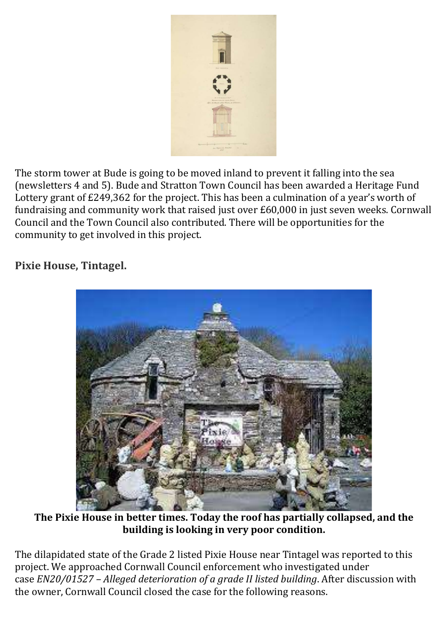

The storm tower at Bude is going to be moved inland to prevent it falling into the sea (newsletters 4 and 5). Bude and Stratton Town Council has been awarded a Heritage Fund Lottery grant of £249,362 for the project. This has been a culmination of a year's worth of fundraising and community work that raised just over £60,000 in just seven weeks. Cornwall Council and the Town Council also contributed. There will be opportunities for the community to get involved in this project.

## Pixie House, Tintagel.



The Pixie House in better times. Today the roof has partially collapsed, and the building is looking in very poor condition.

The dilapidated state of the Grade 2 listed Pixie House near Tintagel was reported to this project. We approached Cornwall Council enforcement who investigated under case EN20/01527 – Alleged deterioration of a grade II listed building. After discussion with the owner, Cornwall Council closed the case for the following reasons.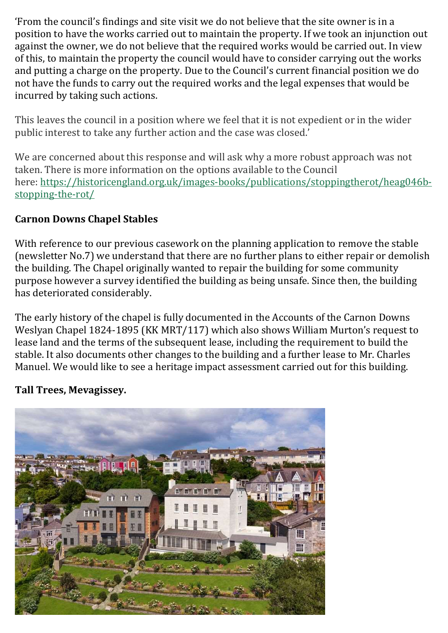'From the council's findings and site visit we do not believe that the site owner is in a position to have the works carried out to maintain the property. If we took an injunction out against the owner, we do not believe that the required works would be carried out. In view of this, to maintain the property the council would have to consider carrying out the works and putting a charge on the property. Due to the Council's current financial position we do not have the funds to carry out the required works and the legal expenses that would be incurred by taking such actions.

This leaves the council in a position where we feel that it is not expedient or in the wider public interest to take any further action and the case was closed.'

We are concerned about this response and will ask why a more robust approach was not taken. There is more information on the options available to the Council here: https://historicengland.org.uk/images-books/publications/stoppingtherot/heag046bstopping-the-rot/

### Carnon Downs Chapel Stables

With reference to our previous casework on the planning application to remove the stable (newsletter No.7) we understand that there are no further plans to either repair or demolish the building. The Chapel originally wanted to repair the building for some community purpose however a survey identified the building as being unsafe. Since then, the building has deteriorated considerably.

The early history of the chapel is fully documented in the Accounts of the Carnon Downs Weslyan Chapel 1824-1895 (KK MRT/117) which also shows William Murton's request to lease land and the terms of the subsequent lease, including the requirement to build the stable. It also documents other changes to the building and a further lease to Mr. Charles Manuel. We would like to see a heritage impact assessment carried out for this building.

#### Tall Trees, Mevagissey.

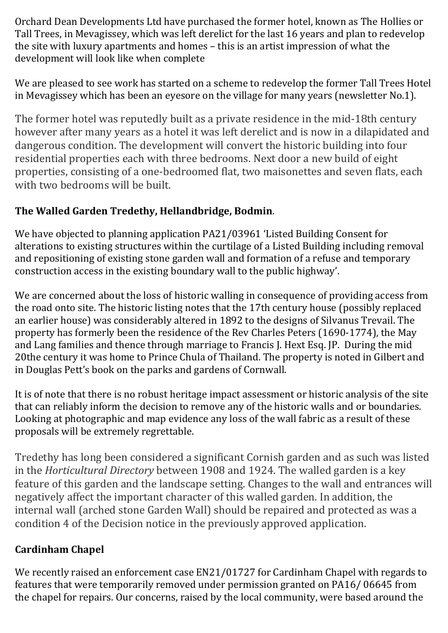Orchard Dean Developments Ltd have purchased the former hotel, known as The Hollies or Tall Trees, in Mevagissey, which was left derelict for the last 16 years and plan to redevelop the site with luxury apartments and homes – this is an artist impression of what the development will look like when complete

We are pleased to see work has started on a scheme to redevelop the former Tall Trees Hotel in Mevagissey which has been an eyesore on the village for many years (newsletter No.1).

The former hotel was reputedly built as a private residence in the mid-18th century however after many years as a hotel it was left derelict and is now in a dilapidated and dangerous condition. The development will convert the historic building into four residential properties each with three bedrooms. Next door a new build of eight properties, consisting of a one-bedroomed flat, two maisonettes and seven flats, each with two bedrooms will be built.

## The Walled Garden Tredethy, Hellandbridge, Bodmin.

We have objected to planning application PA21/03961 'Listed Building Consent for alterations to existing structures within the curtilage of a Listed Building including removal and repositioning of existing stone garden wall and formation of a refuse and temporary construction access in the existing boundary wall to the public highway'.

We are concerned about the loss of historic walling in consequence of providing access from the road onto site. The historic listing notes that the 17th century house (possibly replaced an earlier house) was considerably altered in 1892 to the designs of Silvanus Trevail. The property has formerly been the residence of the Rev Charles Peters (1690-1774), the May and Lang families and thence through marriage to Francis J. Hext Esq. JP. During the mid 20the century it was home to Prince Chula of Thailand. The property is noted in Gilbert and in Douglas Pett's book on the parks and gardens of Cornwall.

It is of note that there is no robust heritage impact assessment or historic analysis of the site that can reliably inform the decision to remove any of the historic walls and or boundaries. Looking at photographic and map evidence any loss of the wall fabric as a result of these proposals will be extremely regrettable.

Tredethy has long been considered a significant Cornish garden and as such was listed in the Horticultural Directory between 1908 and 1924. The walled garden is a key feature of this garden and the landscape setting. Changes to the wall and entrances will negatively affect the important character of this walled garden. In addition, the internal wall (arched stone Garden Wall) should be repaired and protected as was a condition 4 of the Decision notice in the previously approved application.

## Cardinham Chapel

We recently raised an enforcement case EN21/01727 for Cardinham Chapel with regards to features that were temporarily removed under permission granted on PA16/ 06645 from the chapel for repairs. Our concerns, raised by the local community, were based around the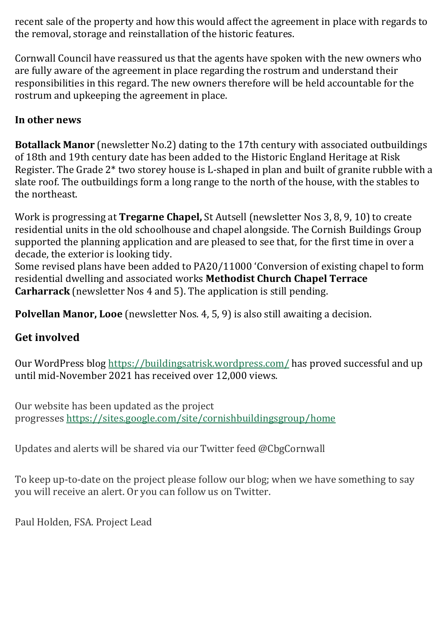recent sale of the property and how this would affect the agreement in place with regards to the removal, storage and reinstallation of the historic features.

Cornwall Council have reassured us that the agents have spoken with the new owners who are fully aware of the agreement in place regarding the rostrum and understand their responsibilities in this regard. The new owners therefore will be held accountable for the rostrum and upkeeping the agreement in place.

#### In other news

Botallack Manor (newsletter No.2) dating to the 17th century with associated outbuildings of 18th and 19th century date has been added to the Historic England Heritage at Risk Register. The Grade 2\* two storey house is L-shaped in plan and built of granite rubble with a slate roof. The outbuildings form a long range to the north of the house, with the stables to the northeast.

Work is progressing at Tregarne Chapel, St Autsell (newsletter Nos 3, 8, 9, 10) to create residential units in the old schoolhouse and chapel alongside. The Cornish Buildings Group supported the planning application and are pleased to see that, for the first time in over a decade, the exterior is looking tidy.

Some revised plans have been added to PA20/11000 'Conversion of existing chapel to form residential dwelling and associated works Methodist Church Chapel Terrace Carharrack (newsletter Nos 4 and 5). The application is still pending.

Polvellan Manor, Looe (newsletter Nos. 4, 5, 9) is also still awaiting a decision.

## Get involved

Our WordPress blog https://buildingsatrisk.wordpress.com/ has proved successful and up until mid-November 2021 has received over 12,000 views.

Our website has been updated as the project progresses https://sites.google.com/site/cornishbuildingsgroup/home

Updates and alerts will be shared via our Twitter feed @CbgCornwall

To keep up-to-date on the project please follow our blog; when we have something to say you will receive an alert. Or you can follow us on Twitter.

Paul Holden, FSA. Project Lead